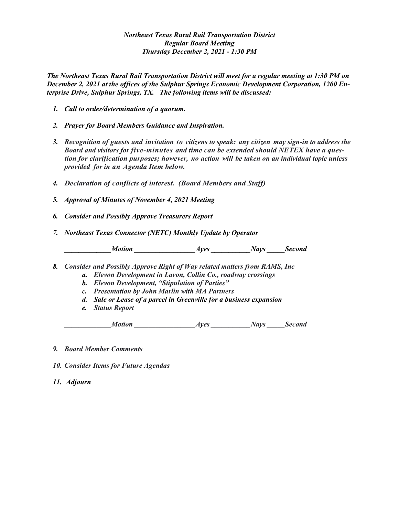## *Northeast Texas Rural Rail Transportation District Regular Board Meeting Thursday December 2, 2021 - 1:30 PM*

*The Northeast Texas Rural Rail Transportation District will meet for a regular meeting at 1:30 PM on December 2, 2021 at the offices of the Sulphur Springs Economic Development Corporation, 1200 Enterprise Drive, Sulphur Springs, TX. The following items will be discussed:*

- *1. Call to order/determination of a quorum.*
- *2. Prayer for Board Members Guidance and Inspiration.*
- *3. Recognition of guests and invitation to citizens to speak: any citizen may sign-in to address the Board and visitors for five-minutes and time can be extended should NETEX have a question for clarification purposes; however, no action will be taken on an individual topic unless provided for in an Agenda Item below.*
- *4. Declaration of conflicts of interest. (Board Members and Staff)*
- *5. Approval of Minutes of November 4, 2021 Meeting*
- *6. Consider and Possibly Approve Treasurers Report*
- *7. Northeast Texas Connector (NETC) Monthly Update by Operator*

 *\_\_\_\_\_\_\_\_\_\_\_\_\_Motion \_\_\_\_\_\_\_\_\_\_\_\_\_\_\_\_\_Ayes \_\_\_\_\_\_\_\_\_\_\_Nays \_\_\_\_\_Second*

- *8. Consider and Possibly Approve Right of Way related matters from RAMS, Inc*
	- *a. Elevon Development in Lavon, Collin Co., roadway crossings*
		- *b. Elevon Development, "Stipulation of Parties"*
		- *c. Presentation by John Marlin with MA Partners*
		- *d. Sale or Lease of a parcel in Greenville for a business expansion*
		- *e. Status Report*

*Ayes Motion Ayes Mays Second* 

- *9. Board Member Comments*
- *10. Consider Items for Future Agendas*
- *11. Adjourn*